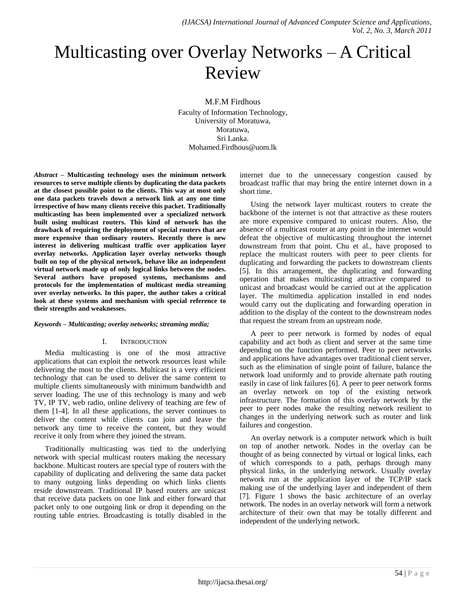# Multicasting over Overlay Networks – A Critical Review

M.F.M Firdhous Faculty of Information Technology, University of Moratuwa, Moratuwa, Sri Lanka. Mohamed.Firdhous@uom.lk

*Abstract –* **Multicasting technology uses the minimum network resources to serve multiple clients by duplicating the data packets at the closest possible point to the clients. This way at most only one data packets travels down a network link at any one time irrespective of how many clients receive this packet. Traditionally multicasting has been implemented over a specialized network built using multicast routers. This kind of network has the drawback of requiring the deployment of special routers that are more expensive than ordinary routers. Recently there is new interest in delivering multicast traffic over application layer overlay networks. Application layer overlay networks though built on top of the physical network, behave like an independent virtual network made up of only logical links between the nodes. Several authors have proposed systems, mechanisms and protocols for the implementation of multicast media streaming over overlay networks. In this paper, the author takes a critical look at these systems and mechanism with special reference to their strengths and weaknesses.**

# *Keywords – Multicasting; overlay networks; streaming media;*

# I. INTRODUCTION

Media multicasting is one of the most attractive applications that can exploit the network resources least while delivering the most to the clients. Multicast is a very efficient technology that can be used to deliver the same content to multiple clients simultaneously with minimum bandwidth and server loading. The use of this technology is many and web TV, IP TV, web radio, online delivery of teaching are few of them [1-4]. In all these applications, the server continues to deliver the content while clients can join and leave the network any time to receive the content, but they would receive it only from where they joined the stream.

Traditionally multicasting was tied to the underlying network with special multicast routers making the necessary backbone. Multicast routers are special type of routers with the capability of duplicating and delivering the same data packet to many outgoing links depending on which links clients reside downstream. Traditional IP based routers are unicast that receive data packets on one link and either forward that packet only to one outgoing link or drop it depending on the routing table entries. Broadcasting is totally disabled in the

internet due to the unnecessary congestion caused by broadcast traffic that may bring the entire internet down in a short time.

Using the network layer multicast routers to create the backbone of the internet is not that attractive as these routers are more expensive compared to unicast routers. Also, the absence of a multicast router at any point in the internet would defeat the objective of multicasting throughout the internet downstream from that point. Chu et al., have proposed to replace the multicast routers with peer to peer clients for duplicating and forwarding the packets to downstream clients [5]. In this arrangement, the duplicating and forwarding operation that makes multicasting attractive compared to unicast and broadcast would be carried out at the application layer. The multimedia application installed in end nodes would carry out the duplicating and forwarding operation in addition to the display of the content to the downstream nodes that request the stream from an upstream node.

A peer to peer network is formed by nodes of equal capability and act both as client and server at the same time depending on the function performed. Peer to peer networks and applications have advantages over traditional client server, such as the elimination of single point of failure, balance the network load uniformly and to provide alternate path routing easily in case of link failures [6]. A peer to peer network forms an overlay network on top of the existing network infrastructure. The formation of this overlay network by the peer to peer nodes make the resulting network resilient to changes in the underlying network such as router and link failures and congestion.

An overlay network is a computer network which is built on top of another network. Nodes in the overlay can be thought of as being connected by virtual or logical links, each of which corresponds to a path, perhaps through many physical links, in the underlying network. Usually overlay network run at the application layer of the TCP/IP stack making use of the underlying layer and independent of them [7]. Figure 1 shows the basic architecture of an overlay network. The nodes in an overlay network will form a network architecture of their own that may be totally different and independent of the underlying network.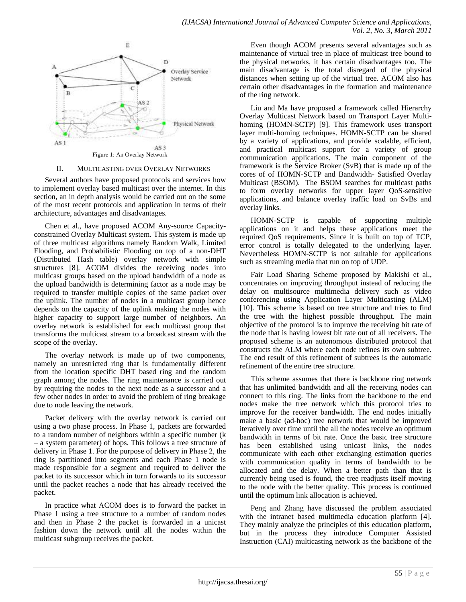

### II. MULTICASTING OVER OVERLAY NETWORKS

Several authors have proposed protocols and services how to implement overlay based multicast over the internet. In this section, an in depth analysis would be carried out on the some of the most recent protocols and application in terms of their architecture, advantages and disadvantages.

Chen et al., have proposed ACOM Any-source Capacityconstrained Overlay Multicast system. This system is made up of three multicast algorithms namely Random Walk, Limited Flooding, and Probabilistic Flooding on top of a non-DHT (Distributed Hash table) overlay network with simple structures [8]. ACOM divides the receiving nodes into multicast groups based on the upload bandwidth of a node as the upload bandwidth is determining factor as a node may be required to transfer multiple copies of the same packet over the uplink. The number of nodes in a multicast group hence depends on the capacity of the uplink making the nodes with higher capacity to support large number of neighbors. An overlay network is established for each multicast group that transforms the multicast stream to a broadcast stream with the scope of the overlay.

The overlay network is made up of two components, namely an unrestricted ring that is fundamentally different from the location specific DHT based ring and the random graph among the nodes. The ring maintenance is carried out by requiring the nodes to the next node as a successor and a few other nodes in order to avoid the problem of ring breakage due to node leaving the network.

Packet delivery with the overlay network is carried out using a two phase process. In Phase 1, packets are forwarded to a random number of neighbors within a specific number (k – a system parameter) of hops. This follows a tree structure of delivery in Phase 1. For the purpose of delivery in Phase 2, the ring is partitioned into segments and each Phase 1 node is made responsible for a segment and required to deliver the packet to its successor which in turn forwards to its successor until the packet reaches a node that has already received the packet.

In practice what ACOM does is to forward the packet in Phase 1 using a tree structure to a number of random nodes and then in Phase 2 the packet is forwarded in a unicast fashion down the network until all the nodes within the multicast subgroup receives the packet.

Even though ACOM presents several advantages such as maintenance of virtual tree in place of multicast tree bound to the physical networks, it has certain disadvantages too. The main disadvantage is the total disregard of the physical distances when setting up of the virtual tree. ACOM also has certain other disadvantages in the formation and maintenance of the ring network.

Liu and Ma have proposed a framework called Hierarchy Overlay Multicast Network based on Transport Layer Multihoming (HOMN-SCTP) [9]. This framework uses transport layer multi-homing techniques. HOMN-SCTP can be shared by a variety of applications, and provide scalable, efficient, and practical multicast support for a variety of group communication applications. The main component of the framework is the Service Broker (SvB) that is made up of the cores of of HOMN-SCTP and Bandwidth- Satisfied Overlay Multicast (BSOM). The BSOM searches for multicast paths to form overlay networks for upper layer QoS-sensitive applications, and balance overlay traffic load on SvBs and overlay links.

HOMN-SCTP is capable of supporting multiple applications on it and helps these applications meet the required QoS requirements. Since it is built on top of TCP, error control is totally delegated to the underlying layer. Nevertheless HOMN-SCTP is not suitable for applications such as streaming media that run on top of UDP.

Fair Load Sharing Scheme proposed by Makishi et al., concentrates on improving throughput instead of reducing the delay on multisource multimedia delivery such as video conferencing using Application Layer Multicasting (ALM) [10]. This scheme is based on tree structure and tries to find the tree with the highest possible throughput. The main objective of the protocol is to improve the receiving bit rate of the node that is having lowest bit rate out of all receivers. The proposed scheme is an autonomous distributed protocol that constructs the ALM where each node refines its own subtree. The end result of this refinement of subtrees is the automatic refinement of the entire tree structure.

This scheme assumes that there is backbone ring network that has unlimited bandwidth and all the receiving nodes can connect to this ring. The links from the backbone to the end nodes make the tree network which this protocol tries to improve for the receiver bandwidth. The end nodes initially make a basic (ad-hoc) tree network that would be improved iteratively over time until the all the nodes receive an optimum bandwidth in terms of bit rate. Once the basic tree structure has been established using unicast links, the nodes communicate with each other exchanging estimation queries with communication quality in terms of bandwidth to be allocated and the delay. When a better path than that is currently being used is found, the tree readjusts itself moving to the node with the better quality. This process is continued until the optimum link allocation is achieved.

Peng and Zhang have discussed the problem associated with the intranet based multimedia education platform [4]. They mainly analyze the principles of this education platform, but in the process they introduce Computer Assisted Instruction (CAI) multicasting network as the backbone of the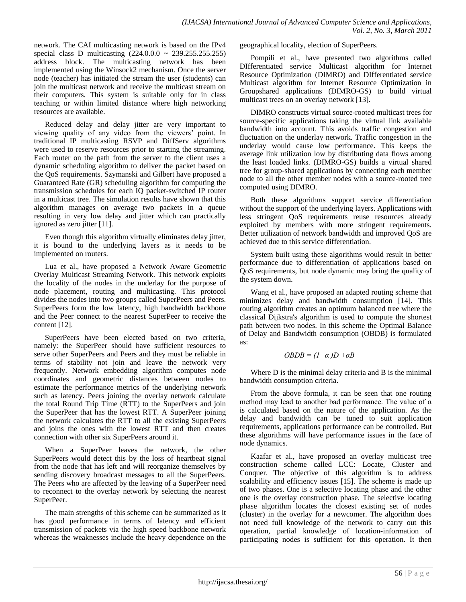network. The CAI multicasting network is based on the IPv4 special class D multicasting (224.0.0.0 ~ 239.255.255.255) address block. The multicasting network has been implemented using the Winsock2 mechanism. Once the server node (teacher) has initiated the stream the user (students) can join the multicast network and receive the multicast stream on their computers. This system is suitable only for in class teaching or within limited distance where high networking resources are available.

Reduced delay and delay jitter are very important to viewing quality of any video from the viewers' point. In traditional IP multicasting RSVP and DiffServ algorithms were used to reserve resources prior to starting the streaming. Each router on the path from the server to the client uses a dynamic scheduling algorithm to deliver the packet based on the QoS requirements. Szymanski and Gilbert have proposed a Guaranteed Rate (GR) scheduling algorithm for computing the transmission schedules for each IQ packet-switched IP router in a multicast tree. The simulation results have shown that this algorithm manages on average two packets in a queue resulting in very low delay and jitter which can practically ignored as zero jitter [11].

Even though this algorithm virtually eliminates delay jitter, it is bound to the underlying layers as it needs to be implemented on routers.

Lua et al., have proposed a Network Aware Geometric Overlay Multicast Streaming Network. This network exploits the locality of the nodes in the underlay for the purpose of node placement, routing and multicasting. This protocol divides the nodes into two groups called SuperPeers and Peers. SuperPeers form the low latency, high bandwidth backbone and the Peer connect to the nearest SuperPeer to receive the content [12].

SuperPeers have been elected based on two criteria, namely: the SuperPeer should have sufficient resources to serve other SuperPeers and Peers and they must be reliable in terms of stability not join and leave the network very frequently. Network embedding algorithm computes node coordinates and geometric distances between nodes to estimate the performance metrics of the underlying network such as latency. Peers joining the overlay network calculate the total Round Trip Time (RTT) to the SuperPeers and join the SuperPeer that has the lowest RTT. A SuperPeer joining the network calculates the RTT to all the existing SuperPeers and joins the ones with the lowest RTT and then creates connection with other six SuperPeers around it.

When a SuperPeer leaves the network, the other SuperPeers would detect this by the loss of heartbeat signal from the node that has left and will reorganize themselves by sending discovery broadcast messages to all the SuperPeers. The Peers who are affected by the leaving of a SuperPeer need to reconnect to the overlay network by selecting the nearest SuperPeer.

The main strengths of this scheme can be summarized as it has good performance in terms of latency and efficient transmission of packets via the high speed backbone network whereas the weaknesses include the heavy dependence on the

geographical locality, election of SuperPeers.

Pompili et al., have presented two algorithms called DIfferentiated service Multicast algorithm for Internet Resource Optimization (DIMRO) and DIfferentiated service Multicast algorithm for Internet Resource Optimization in Groupshared applications (DIMRO-GS) to build virtual multicast trees on an overlay network [13].

DIMRO constructs virtual source-rooted multicast trees for source-specific applications taking the virtual link available bandwidth into account. This avoids traffic congestion and fluctuation on the underlay network. Traffic congestion in the underlay would cause low performance. This keeps the average link utilization low by distributing data flows among the least loaded links. (DIMRO-GS) builds a virtual shared tree for group-shared applications by connecting each member node to all the other member nodes with a source-rooted tree computed using DIMRO.

Both these algorithms support service differentiation without the support of the underlying layers. Applications with less stringent QoS requirements reuse resources already exploited by members with more stringent requirements. Better utilization of network bandwidth and improved QoS are achieved due to this service differentiation.

System built using these algorithms would result in better performance due to differentiation of applications based on QoS requirements, but node dynamic may bring the quality of the system down.

Wang et al., have proposed an adapted routing scheme that minimizes delay and bandwidth consumption [14]. This routing algorithm creates an optimum balanced tree where the classical Dijkstra's algorithm is used to compute the shortest path between two nodes. In this scheme the Optimal Balance of Delay and Bandwidth consumption (OBDB) is formulated as:

$$
OBDB = (1 - \alpha)D + \alpha B
$$

Where D is the minimal delay criteria and B is the minimal bandwidth consumption criteria.

From the above formula, it can be seen that one routing method may lead to another bad performance. The value of  $\alpha$ is calculated based on the nature of the application. As the delay and bandwidth can be tuned to suit application requirements, applications performance can be controlled. But these algorithms will have performance issues in the face of node dynamics.

Kaafar et al., have proposed an overlay multicast tree construction scheme called LCC: Locate, Cluster and Conquer. The objective of this algorithm is to address scalability and efficiency issues [15]. The scheme is made up of two phases. One is a selective locating phase and the other one is the overlay construction phase. The selective locating phase algorithm locates the closest existing set of nodes (cluster) in the overlay for a newcomer. The algorithm does not need full knowledge of the network to carry out this operation, partial knowledge of location-information of participating nodes is sufficient for this operation. It then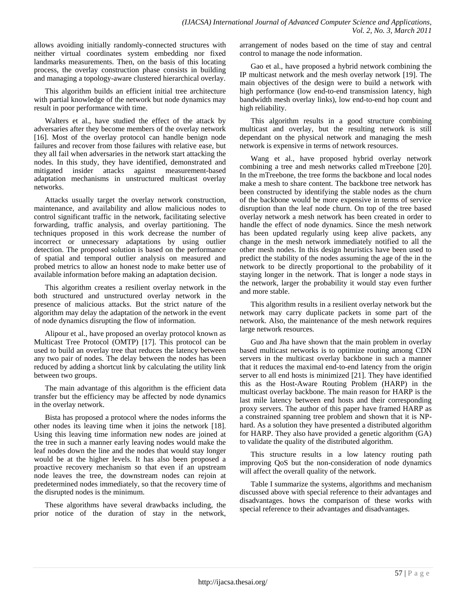allows avoiding initially randomly-connected structures with neither virtual coordinates system embedding nor fixed landmarks measurements. Then, on the basis of this locating process, the overlay construction phase consists in building and managing a topology-aware clustered hierarchical overlay.

This algorithm builds an efficient initial tree architecture with partial knowledge of the network but node dynamics may result in poor performance with time.

Walters et al., have studied the effect of the attack by adversaries after they become members of the overlay network [16]. Most of the overlay protocol can handle benign node failures and recover from those failures with relative ease, but they all fail when adversaries in the network start attacking the nodes. In this study, they have identified, demonstrated and mitigated insider attacks against measurement-based adaptation mechanisms in unstructured multicast overlay networks.

Attacks usually target the overlay network construction, maintenance, and availability and allow malicious nodes to control significant traffic in the network, facilitating selective forwarding, traffic analysis, and overlay partitioning. The techniques proposed in this work decrease the number of incorrect or unnecessary adaptations by using outlier detection. The proposed solution is based on the performance of spatial and temporal outlier analysis on measured and probed metrics to allow an honest node to make better use of available information before making an adaptation decision.

This algorithm creates a resilient overlay network in the both structured and unstructured overlay network in the presence of malicious attacks. But the strict nature of the algorithm may delay the adaptation of the network in the event of node dynamics disrupting the flow of information.

Alipour et al., have proposed an overlay protocol known as Multicast Tree Protocol (OMTP) [17]. This protocol can be used to build an overlay tree that reduces the latency between any two pair of nodes. The delay between the nodes has been reduced by adding a shortcut link by calculating the utility link between two groups.

The main advantage of this algorithm is the efficient data transfer but the efficiency may be affected by node dynamics in the overlay network.

Bista has proposed a protocol where the nodes informs the other nodes its leaving time when it joins the network [18]. Using this leaving time information new nodes are joined at the tree in such a manner early leaving nodes would make the leaf nodes down the line and the nodes that would stay longer would be at the higher levels. It has also been proposed a proactive recovery mechanism so that even if an upstream node leaves the tree, the downstream nodes can rejoin at predetermined nodes immediately, so that the recovery time of the disrupted nodes is the minimum.

These algorithms have several drawbacks including, the prior notice of the duration of stay in the network, arrangement of nodes based on the time of stay and central control to manage the node information.

Gao et al., have proposed a hybrid network combining the IP multicast network and the mesh overlay network [19]. The main objectives of the design were to build a network with high performance (low end-to-end transmission latency, high bandwidth mesh overlay links), low end-to-end hop count and high reliability.

This algorithm results in a good structure combining multicast and overlay, but the resulting network is still dependant on the physical network and managing the mesh network is expensive in terms of network resources.

Wang et al., have proposed hybrid overlay network combining a tree and mesh networks called mTreebone [20]. In the mTreebone, the tree forms the backbone and local nodes make a mesh to share content. The backbone tree network has been constructed by identifying the stable nodes as the churn of the backbone would be more expensive in terms of service disruption than the leaf node churn. On top of the tree based overlay network a mesh network has been created in order to handle the effect of node dynamics. Since the mesh network has been updated regularly using keep alive packets, any change in the mesh network immediately notified to all the other mesh nodes. In this design heuristics have been used to predict the stability of the nodes assuming the age of the in the network to be directly proportional to the probability of it staying longer in the network. That is longer a node stays in the network, larger the probability it would stay even further and more stable.

This algorithm results in a resilient overlay network but the network may carry duplicate packets in some part of the network. Also, the maintenance of the mesh network requires large network resources.

Guo and Jha have shown that the main problem in overlay based multicast networks is to optimize routing among CDN servers in the multicast overlay backbone in such a manner that it reduces the maximal end-to-end latency from the origin server to all end hosts is minimized [21]. They have identified this as the Host-Aware Routing Problem (HARP) in the multicast overlay backbone. The main reason for HARP is the last mile latency between end hosts and their corresponding proxy servers. The author of this paper have framed HARP as a constrained spanning tree problem and shown that it is NPhard. As a solution they have presented a distributed algorithm for HARP. They also have provided a genetic algorithm (GA) to validate the quality of the distributed algorithm.

This structure results in a low latency routing path improving QoS but the non-consideration of node dynamics will affect the overall quality of the network.

Table I summarize the systems, algorithms and mechanism discussed above with special reference to their advantages and disadvantages. hows the comparison of these works with special reference to their advantages and disadvantages.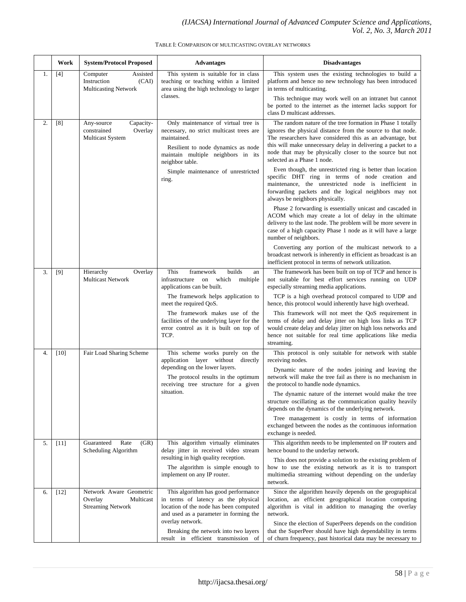## TABLE I: COMPARISON OF MULTICASTING OVERLAY NETWORKS

|    | Work   | <b>System/Protocol Proposed</b>                                              | <b>Advantages</b>                                                                                                                                                                                                                                                                                              | <b>Disadvantages</b>                                                                                                                                                                                                                                                                                                                                                                                                                                                                                                                                                                                                                                                                                                                                                                                                                                                                                                                                                                                                                                                                    |
|----|--------|------------------------------------------------------------------------------|----------------------------------------------------------------------------------------------------------------------------------------------------------------------------------------------------------------------------------------------------------------------------------------------------------------|-----------------------------------------------------------------------------------------------------------------------------------------------------------------------------------------------------------------------------------------------------------------------------------------------------------------------------------------------------------------------------------------------------------------------------------------------------------------------------------------------------------------------------------------------------------------------------------------------------------------------------------------------------------------------------------------------------------------------------------------------------------------------------------------------------------------------------------------------------------------------------------------------------------------------------------------------------------------------------------------------------------------------------------------------------------------------------------------|
| 1. | $[4]$  | Assisted<br>Computer<br>Instruction<br>(CAI)<br><b>Multicasting Network</b>  | This system is suitable for in class<br>teaching or teaching within a limited<br>area using the high technology to larger<br>classes.                                                                                                                                                                          | This system uses the existing technologies to build a<br>platform and hence no new technology has been introduced<br>in terms of multicasting.<br>This technique may work well on an intranet but cannot<br>be ported to the internet as the internet lacks support for<br>class D multicast addresses.                                                                                                                                                                                                                                                                                                                                                                                                                                                                                                                                                                                                                                                                                                                                                                                 |
| 2. | [8]    | Capacity-<br>Any-source<br>constrained<br>Overlay<br><b>Multicast System</b> | Only maintenance of virtual tree is<br>necessary, no strict multicast trees are<br>maintained.<br>Resilient to node dynamics as node<br>maintain multiple neighbors in its<br>neighbor table.<br>Simple maintenance of unrestricted<br>ring.                                                                   | The random nature of the tree formation in Phase 1 totally<br>ignores the physical distance from the source to that node.<br>The researchers have considered this as an advantage, but<br>this will make unnecessary delay in delivering a packet to a<br>node that may be physically closer to the source but not<br>selected as a Phase 1 node.<br>Even though, the unrestricted ring is better than location<br>specific DHT ring in terms of node creation and<br>maintenance, the unrestricted node is inefficient in<br>forwarding packets and the logical neighbors may not<br>always be neighbors physically.<br>Phase 2 forwarding is essentially unicast and cascaded in<br>ACOM which may create a lot of delay in the ultimate<br>delivery to the last node. The problem will be more severe in<br>case of a high capacity Phase 1 node as it will have a large<br>number of neighbors.<br>Converting any portion of the multicast network to a<br>broadcast network is inherently in efficient as broadcast is an<br>inefficient protocol in terms of network utilization. |
| 3. | $[9]$  | Hierarchy<br>Overlay<br><b>Multicast Network</b>                             | This<br>framework<br>builds<br>an<br>infrastructure<br>on<br>which<br>multiple<br>applications can be built.<br>The framework helps application to<br>meet the required QoS.<br>The framework makes use of the<br>facilities of the underlying layer for the<br>error control as it is built on top of<br>TCP. | The framework has been built on top of TCP and hence is<br>not suitable for best effort services running on UDP<br>especially streaming media applications.<br>TCP is a high overhead protocol compared to UDP and<br>hence, this protocol would inherently have high overhead.<br>This framework will not meet the QoS requirement in<br>terms of delay and delay jitter on high loss links as TCP<br>would create delay and delay jitter on high loss networks and<br>hence not suitable for real time applications like media<br>streaming.                                                                                                                                                                                                                                                                                                                                                                                                                                                                                                                                          |
| 4. | $[10]$ | Fair Load Sharing Scheme                                                     | This scheme works purely on the<br>application layer without<br>directly<br>depending on the lower layers.<br>The protocol results in the optimum<br>receiving tree structure for a given<br>situation.                                                                                                        | This protocol is only suitable for network with stable<br>receiving nodes.<br>Dynamic nature of the nodes joining and leaving the<br>network will make the tree fail as there is no mechanism in<br>the protocol to handle node dynamics.<br>The dynamic nature of the internet would make the tree<br>structure oscillating as the communication quality heavily<br>depends on the dynamics of the underlying network.<br>Tree management is costly in terms of information<br>exchanged between the nodes as the continuous information<br>exchange is needed.                                                                                                                                                                                                                                                                                                                                                                                                                                                                                                                        |
| 5. | $[11]$ | Guaranteed<br>Rate<br>(GR)<br>Scheduling Algorithm                           | This algorithm virtually eliminates<br>delay jitter in received video stream<br>resulting in high quality reception.<br>The algorithm is simple enough to<br>implement on any IP router.                                                                                                                       | This algorithm needs to be implemented on IP routers and<br>hence bound to the underlay network.<br>This does not provide a solution to the existing problem of<br>how to use the existing network as it is to transport<br>multimedia streaming without depending on the underlay<br>network.                                                                                                                                                                                                                                                                                                                                                                                                                                                                                                                                                                                                                                                                                                                                                                                          |
| 6. | $[12]$ | Network Aware Geometric<br>Overlay<br>Multicast<br><b>Streaming Network</b>  | This algorithm has good performance<br>in terms of latency as the physical<br>location of the node has been computed<br>and used as a parameter in forming the<br>overlay network.<br>Breaking the network into two layers<br>result in efficient transmission of                                              | Since the algorithm heavily depends on the geographical<br>location, an efficient geographical location computing<br>algorithm is vital in addition to managing the overlay<br>network.<br>Since the election of SuperPeers depends on the condition<br>that the SuperPeer should have high dependability in terms<br>of churn frequency, past historical data may be necessary to                                                                                                                                                                                                                                                                                                                                                                                                                                                                                                                                                                                                                                                                                                      |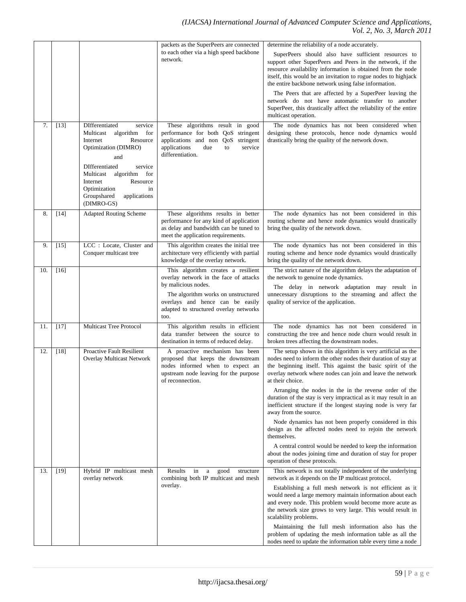|     |        |                                                                                                                                                                                                                                                                                | packets as the SuperPeers are connected                                                                                                                                                                                          | determine the reliability of a node accurately.                                                                                                                                                                                                                                                                                                                                                                                                                                                                                                                                                                                                                                                                                                                                                        |
|-----|--------|--------------------------------------------------------------------------------------------------------------------------------------------------------------------------------------------------------------------------------------------------------------------------------|----------------------------------------------------------------------------------------------------------------------------------------------------------------------------------------------------------------------------------|--------------------------------------------------------------------------------------------------------------------------------------------------------------------------------------------------------------------------------------------------------------------------------------------------------------------------------------------------------------------------------------------------------------------------------------------------------------------------------------------------------------------------------------------------------------------------------------------------------------------------------------------------------------------------------------------------------------------------------------------------------------------------------------------------------|
|     |        |                                                                                                                                                                                                                                                                                | to each other via a high speed backbone<br>network.                                                                                                                                                                              | SuperPeers should also have sufficient resources to<br>support other SuperPeers and Peers in the network, if the<br>resource availability information is obtained from the node<br>itself, this would be an invitation to rogue nodes to highjack<br>the entire backbone network using false information.<br>The Peers that are affected by a SuperPeer leaving the<br>network do not have automatic transfer to another<br>SuperPeer, this drastically affect the reliability of the entire<br>multicast operation.                                                                                                                                                                                                                                                                                   |
| 7.  | $[13]$ | <b>DIfferentiated</b><br>service<br>Multicast<br>algorithm<br>for<br>Internet<br>Resource<br>Optimization (DIMRO)<br>and<br>DIfferentiated<br>service<br>Multicast<br>algorithm for<br>Internet<br>Resource<br>Optimization<br>in<br>Groupshared<br>applications<br>(DIMRO-GS) | These algorithms result in good<br>performance for both QoS stringent<br>applications and non QoS stringent<br>applications<br>due<br>service<br>to<br>differentiation.                                                          | The node dynamics has not been considered when<br>designing these protocols, hence node dynamics would<br>drastically bring the quality of the network down.                                                                                                                                                                                                                                                                                                                                                                                                                                                                                                                                                                                                                                           |
| 8.  | $[14]$ | <b>Adapted Routing Scheme</b>                                                                                                                                                                                                                                                  | These algorithms results in better<br>performance for any kind of application<br>as delay and bandwidth can be tuned to<br>meet the application requirements.                                                                    | The node dynamics has not been considered in this<br>routing scheme and hence node dynamics would drastically<br>bring the quality of the network down.                                                                                                                                                                                                                                                                                                                                                                                                                                                                                                                                                                                                                                                |
| 9.  | $[15]$ | LCC : Locate, Cluster and<br>Conquer multicast tree                                                                                                                                                                                                                            | This algorithm creates the initial tree<br>architecture very efficiently with partial<br>knowledge of the overlay network.                                                                                                       | The node dynamics has not been considered in this<br>routing scheme and hence node dynamics would drastically<br>bring the quality of the network down.                                                                                                                                                                                                                                                                                                                                                                                                                                                                                                                                                                                                                                                |
| 10. | $[16]$ |                                                                                                                                                                                                                                                                                | This algorithm creates a resilient<br>overlay network in the face of attacks<br>by malicious nodes.<br>The algorithm works on unstructured<br>overlays and hence can be easily<br>adapted to structured overlay networks<br>too. | The strict nature of the algorithm delays the adaptation of<br>the network to genuine node dynamics.<br>The delay in network adaptation may result in<br>unnecessary disruptions to the streaming and affect the<br>quality of service of the application.                                                                                                                                                                                                                                                                                                                                                                                                                                                                                                                                             |
| 11. | $[17]$ | Multicast Tree Protocol                                                                                                                                                                                                                                                        | This algorithm results in efficient<br>data transfer between the source to<br>destination in terms of reduced delay.                                                                                                             | The node dynamics has not been considered in<br>constructing the tree and hence node churn would result in<br>broken trees affecting the downstream nodes.                                                                                                                                                                                                                                                                                                                                                                                                                                                                                                                                                                                                                                             |
| 12. | $[18]$ | <b>Proactive Fault Resilient</b><br><b>Overlay Multicast Network</b>                                                                                                                                                                                                           | A proactive mechanism has been<br>proposed that keeps the downstream<br>nodes informed when to expect an<br>upstream node leaving for the purpose<br>of reconnection.                                                            | The setup shown in this algorithm is very artificial as the<br>nodes need to inform the other nodes their duration of stay at<br>the beginning itself. This against the basic spirit of the<br>overlay network where nodes can join and leave the network<br>at their choice.<br>Arranging the nodes in the in the reverse order of the<br>duration of the stay is very impractical as it may result in an<br>inefficient structure if the longest staying node is very far<br>away from the source.<br>Node dynamics has not been properly considered in this<br>design as the affected nodes need to rejoin the network<br>themselves.<br>A central control would be needed to keep the information<br>about the nodes joining time and duration of stay for proper<br>operation of these protocols. |
| 13. | $[19]$ | Hybrid IP multicast mesh<br>overlay network                                                                                                                                                                                                                                    | Results<br>in<br>good<br>structure<br>a<br>combining both IP multicast and mesh<br>overlay.                                                                                                                                      | This network is not totally independent of the underlying<br>network as it depends on the IP multicast protocol.<br>Establishing a full mesh network is not efficient as it<br>would need a large memory maintain information about each<br>and every node. This problem would become more acute as<br>the network size grows to very large. This would result in<br>scalability problems.<br>Maintaining the full mesh information also has the<br>problem of updating the mesh information table as all the<br>nodes need to update the information table every time a node                                                                                                                                                                                                                          |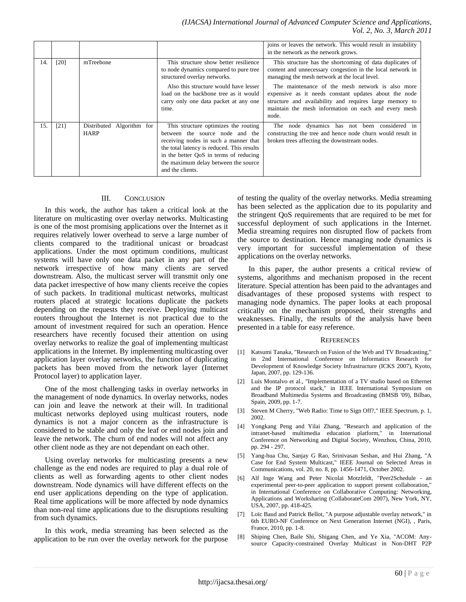|     |      |                                             |                                                                                                                                                                                                                                                                      | joins or leaves the network. This would result in instability<br>in the network as the network grows.                                                                                                                                 |
|-----|------|---------------------------------------------|----------------------------------------------------------------------------------------------------------------------------------------------------------------------------------------------------------------------------------------------------------------------|---------------------------------------------------------------------------------------------------------------------------------------------------------------------------------------------------------------------------------------|
| 14. | [20] | mTreebone                                   | This structure show better resilience<br>to node dynamics compared to pure tree<br>structured overlay networks.                                                                                                                                                      | This structure has the shortcoming of data duplicates of<br>content and unnecessary congestion in the local network in<br>managing the mesh network at the local level.                                                               |
|     |      |                                             | Also this structure would have lesser<br>load on the backbone tree as it would<br>carry only one data packet at any one<br>time.                                                                                                                                     | The maintenance of the mesh network is also more<br>expensive as it needs constant updates about the node<br>structure and availability and requires large memory to<br>maintain the mesh information on each and every mesh<br>node. |
| 15. | [21] | Distributed<br>Algorithm for<br><b>HARP</b> | This structure optimizes the routing<br>between the source node and the<br>receiving nodes in such a manner that<br>the total latency is reduced. This results<br>in the better QoS in terms of reducing<br>the maximum delay between the source<br>and the clients. | The node dynamics has not been considered in<br>constructing the tree and hence node churn would result in<br>broken trees affecting the downstream nodes.                                                                            |

# III. CONCLUSION

In this work, the author has taken a critical look at the literature on multicasting over overlay networks. Multicasting is one of the most promising applications over the Internet as it requires relatively lower overhead to serve a large number of clients compared to the traditional unicast or broadcast applications. Under the most optimum conditions, multicast systems will have only one data packet in any part of the network irrespective of how many clients are served downstream. Also, the multicast server will transmit only one data packet irrespective of how many clients receive the copies of such packets. In traditional multicast networks, multicast routers placed at strategic locations duplicate the packets depending on the requests they receive. Deploying multicast routers throughout the Internet is not practical due to the amount of investment required for such an operation. Hence researchers have recently focused their attention on using overlay networks to realize the goal of implementing multicast applications in the Internet. By implementing multicasting over application layer overlay networks, the function of duplicating packets has been moved from the network layer (Internet Protocol layer) to application layer.

One of the most challenging tasks in overlay networks in the management of node dynamics. In overlay networks, nodes can join and leave the network at their will. In traditional multicast networks deployed using multicast routers, node dynamics is not a major concern as the infrastructure is considered to be stable and only the leaf or end nodes join and leave the network. The churn of end nodes will not affect any other client node as they are not dependant on each other.

Using overlay networks for multicasting presents a new challenge as the end nodes are required to play a dual role of clients as well as forwarding agents to other client nodes downstream. Node dynamics will have different effects on the end user applications depending on the type of application. Real time applications will be more affected by node dynamics than non-real time applications due to the disruptions resulting from such dynamics.

In this work, media streaming has been selected as the application to be run over the overlay network for the purpose of testing the quality of the overlay networks. Media streaming has been selected as the application due to its popularity and the stringent QoS requirements that are required to be met for successful deployment of such applications in the Internet. Media streaming requires non disrupted flow of packets from the source to destination. Hence managing node dynamics is very important for successful implementation of these applications on the overlay networks.

In this paper, the author presents a critical review of systems, algorithms and mechanism proposed in the recent literature. Special attention has been paid to the advantages and disadvantages of these proposed systems with respect to managing node dynamics. The paper looks at each proposal critically on the mechanism proposed, their strengths and weaknesses. Finally, the results of the analysis have been presented in a table for easy reference.

#### **REFERENCES**

- [1] Katsumi Tanaka, "Research on Fusion of the Web and TV Broadcasting," in 2nd International Conference on Informatics Research for Development of Knowledge Society Infrastructure (ICKS 2007), Kyoto, Japan, 2007, pp. 129-136.
- [2] Luis Montalvo et al., "Implementation of a TV studio based on Ethernet and the IP protocol stack," in IEEE International Symposium on Broadband Multimedia Systems and Broadcasting (BMSB '09), Bilbao, Spain, 2009, pp. 1-7.
- [3] Steven M Cherry, "Web Radio: Time to Sign Off?," IEEE Spectrum, p. 1, 2002.
- [4] Yongkang Peng and Yilai Zhang, "Research and application of the intranet-based multimedia education platform," in International Conference on Networking and Digital Society, Wenzhou, China, 2010, pp. 294 - 297.
- [5] Yang-hua Chu, Sanjay G Rao, Srinivasan Seshan, and Hui Zhang, "A Case for End System Multicast," IEEE Journal on Selected Areas in Communications, vol. 20, no. 8, pp. 1456-1471, October 2002.
- [6] Alf Inge Wang and Peter Nicolai Motzfeldt, "Peer2Schedule an experimental peer-to-peer application to support present collaboration," in International Conference on Collaborative Computing: Networking, Applications and Worksharing (CollaborateCom 2007), New York, NY, USA, 2007, pp. 418-425.
- [7] Loïc Baud and Patrick Bellot, "A purpose adjustable overlay network," in 6th EURO-NF Conference on Next Generation Internet (NGI), , Paris, France, 2010, pp. 1-8.
- [8] Shiping Chen, Baile Shi, Shigang Chen, and Ye Xia, "ACOM: Anysource Capacity-constrained Overlay Multicast in Non-DHT P2P